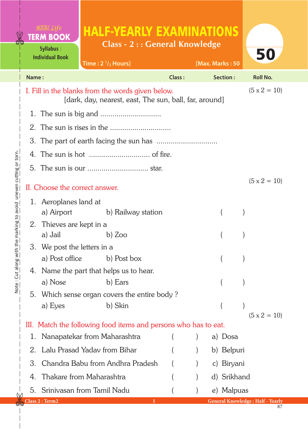## HALF-YEARLY EXAMINATIONS

**Class - 2 : : General Knowledge**

 $(5 \times 2 = 10)$ II. Choose the correct answer. III. Match the following food items and persons who has to eat. 1. The sun is big and .............................. 2. The sun is rises in the  $\ldots$ 3. The part of earth facing the sun has .............................. 4. The sun is hot .............................. of fire. 5. The sun is our .............................. star.  $(5 \times 2 = 10)$  $(5 \times 2 = 10)$ 1. Aeroplanes land at a) Airport b) Railway station ( ) 2. Thieves are kept in a a) Jail b) Zoo ( ) 3. We post the letters in a a) Post office b) Post box () 4. Name the part that helps us to hear. a) Nose b) Ears  $( )$ 5. Which sense organ covers the entire body ? a) Eyes b) Skin ( ) 1. Nanapatekar from Maharashtra ( ) a) Dosa 2. Lalu Prasad Yadav from Bihar (b) b) Belpuri 3. Chandra Babu from Andhra Pradesh () c) Biryani 4. Thakare from Maharashtra (and in the solid of the Srikhand 5. Srinivasan from Tamil Nadu ( ) e) Malpuas I. Fill in the blanks from the words given below. [dark, day, nearest, east, The sun, ball, far, around] **Time : 2 1 /2 Hours] [Max. Marks : 50 Individual Book Name : Class : Section : Roll No. Class 2 : Term2 1 General Knowledge : Half - Yearly**

**Syllabus** :

**TERM BOOK** 

50